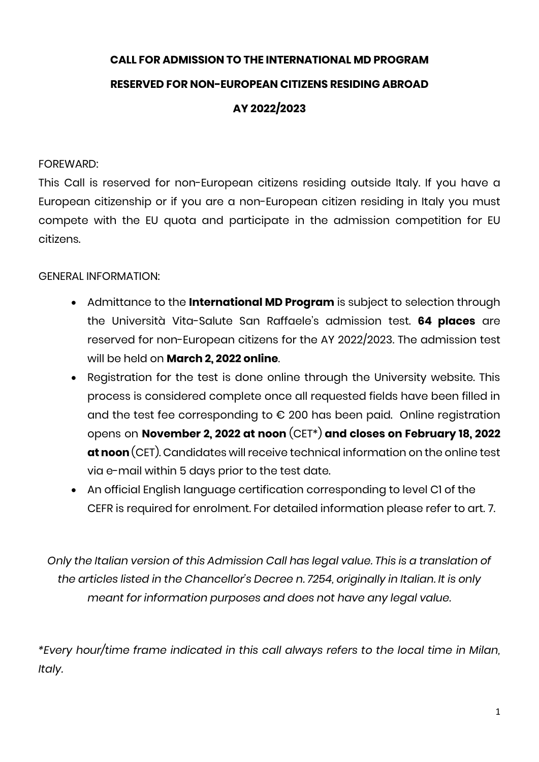# **CALL FOR ADMISSION TO THE INTERNATIONAL MD PROGRAM RESERVED FOR NON-EUROPEAN CITIZENS RESIDING ABROAD AY 2022/2023**

#### FOREWARD:

This Call is reserved for non-European citizens residing outside Italy. If you have a European citizenship or if you are a non-European citizen residing in Italy you must compete with the EU quota and participate in the admission competition for EU citizens.

#### GENERAL INFORMATION:

- Admittance to the **International MD Program** is subject to selection through the Università Vita-Salute San Raffaele's admission test. **64 places** are reserved for non-European citizens for the AY 2022/2023. The admission test will be held on **March 2, 2022 online**.
- Registration for the test is done online through the University website. This process is considered complete once all requested fields have been filled in and the test fee corresponding to € 200 has been paid. Online registration opens on **November 2, 2022 at noon** (CET\*) **and closes on February 18, 2022 at noon** (CET). Candidates will receive technical information on the online test via e-mail within 5 days prior to the test date.
- An official English language certification corresponding to level C1 of the CEFR is required for enrolment. For detailed information please refer to art. 7.

*Only the Italian version of this Admission Call has legal value. This is a translation of the articles listed in the Chancellor's Decree n. 7254, originally in Italian. It is only meant for information purposes and does not have any legal value.*

*\*Every hour/time frame indicated in this call always refers to the local time in Milan, Italy.*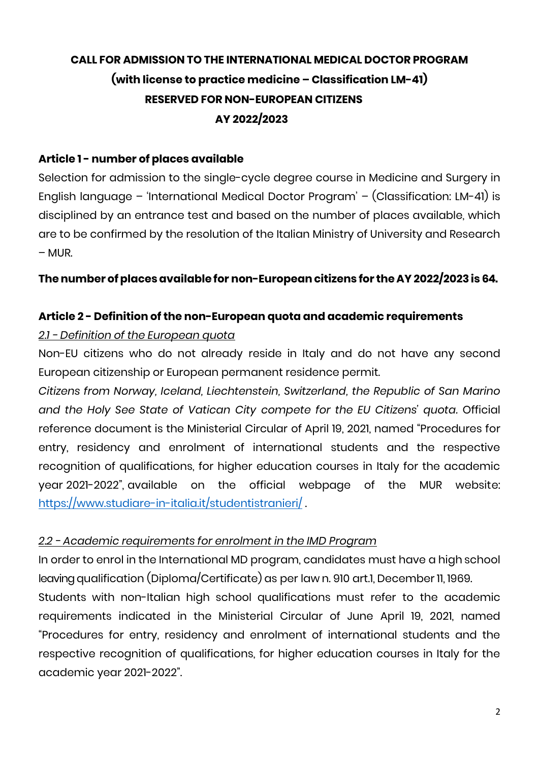## **CALL FOR ADMISSION TO THE INTERNATIONAL MEDICAL DOCTOR PROGRAM (with license to practice medicine – Classification LM-41) RESERVED FOR NON-EUROPEAN CITIZENS AY 2022/2023**

#### **Article 1 - number of places available**

Selection for admission to the single-cycle degree course in Medicine and Surgery in English language – 'International Medical Doctor Program' – (Classification: LM-41) is disciplined by an entrance test and based on the number of places available, which are to be confirmed by the resolution of the Italian Ministry of University and Research – MUR.

#### **Thenumber ofplacesavailable for non-European citizens for the AY 2022/2023 is 64.**

### **Article 2 - Definition of the non-European quota and academic requirements**

#### *2.1 - Definition of the European quota*

Non-EU citizens who do not already reside in Italy and do not have any second European citizenship or European permanent residence permit.

*Citizens from Norway, Iceland, Liechtenstein, Switzerland, the Republic of San Marino and the Holy See State of Vatican City compete for the EU Citizens' quota.* Official reference document is the Ministerial Circular of April 19, 2021, named "Procedures for entry, residency and enrolment of international students and the respective recognition of qualifications, for higher education courses in Italy for the academic year 2021-2022", available on the official webpage of the MUR website: <https://www.studiare-in-italia.it/studentistranieri/> .

#### *2.2 - Academic requirements for enrolment in the IMD Program*

In order to enrol in the International MD program, candidates must have a high school leaving qualification (Diploma/Certificate) as per law n. 910 art.1, December 11, 1969.

Students with non-Italian high school qualifications must refer to the academic requirements indicated in the Ministerial Circular of June April 19, 2021, named "Procedures for entry, residency and enrolment of international students and the respective recognition of qualifications, for higher education courses in Italy for the academic year 2021-2022".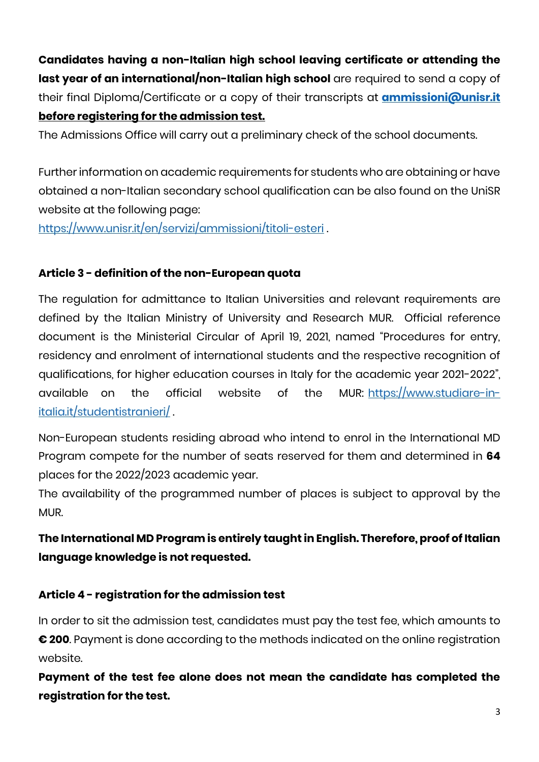**Candidates having a non-Italian high school leaving certificate or attending the**  last year of an international/non-Italian high school are required to send a copy of their final Diploma/Certificate or a copy of their transcripts at **[ammissioni@unisr.it](mailto:ammissioni@unisr.it) before registering for the admission test.**

The Admissions Office will carry out a preliminary check of the school documents.

Further information on academic requirements for students who are obtaining or have obtained a non-Italian secondary school qualification can be also found on the UniSR website at the following page:

<https://www.unisr.it/en/servizi/ammissioni/titoli-esteri> .

## **Article 3 - definition of the non-European quota**

The regulation for admittance to Italian Universities and relevant requirements are defined by the Italian Ministry of University and Research MUR. Official reference document is the Ministerial Circular of April 19, 2021, named "Procedures for entry, residency and enrolment of international students and the respective recognition of qualifications, for higher education courses in Italy for the academic year 2021-2022", available on the official website of the MUR: [https://www.studiare-in](https://www.studiare-in-italia.it/studentistranieri/)[italia.it/studentistranieri/](https://www.studiare-in-italia.it/studentistranieri/) .

Non-European students residing abroad who intend to enrol in the International MD Program compete for the number of seats reserved for them and determined in **64** places for the 2022/2023 academic year.

The availability of the programmed number of places is subject to approval by the MUR.

## **The International MD Program is entirely taught in English. Therefore, proof of Italian language knowledge is not requested.**

## **Article 4 - registration for the admission test**

In order to sit the admission test, candidates must pay the test fee, which amounts to **€ 200**. Payment is done according to the methods indicated on the online registration website.

**Payment of the test fee alone does not mean the candidate has completed the registration for the test.**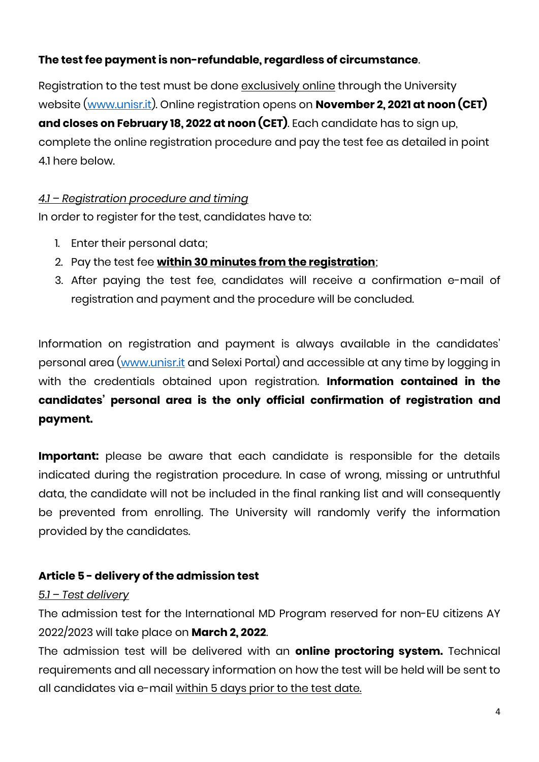## **The test fee payment is non-refundable, regardless of circumstance**.

Registration to the test must be done exclusively online through the University website [\(www.unisr.it\)](http://www.unisr.it/). Online registration opens on **November 2, 2021 at noon (CET) and closes on February 18, 2022 at noon (CET)**. Each candidate has to sign up, complete the online registration procedure and pay the test fee as detailed in point 4.1 here below.

### *4.1 – Registration procedure and timing*

In order to register for the test, candidates have to:

- 1. Enter their personal data;
- 2. Pay the test fee **within 30 minutes from the registration**;
- 3. After paying the test fee, candidates will receive a confirmation e-mail of registration and payment and the procedure will be concluded.

Information on registration and payment is always available in the candidates' personal area [\(www.unisr.it](http://www.unisr.it/) and Selexi Portal) and accessible at any time by logging in with the credentials obtained upon registration. **Information contained in the candidates' personal area is the only official confirmation of registration and payment.**

**Important:** please be aware that each candidate is responsible for the details indicated during the registration procedure. In case of wrong, missing or untruthful data, the candidate will not be included in the final ranking list and will consequently be prevented from enrolling. The University will randomly verify the information provided by the candidates.

## **Article 5 - delivery of the admission test**

#### *5.1 – Test delivery*

The admission test for the International MD Program reserved for non-EU citizens AY 2022/2023 will take place on **March 2, 2022**.

The admission test will be delivered with an **online proctoring system.** Technical requirements and all necessary information on how the test will be held will be sent to all candidates via e-mail within 5 days prior to the test date.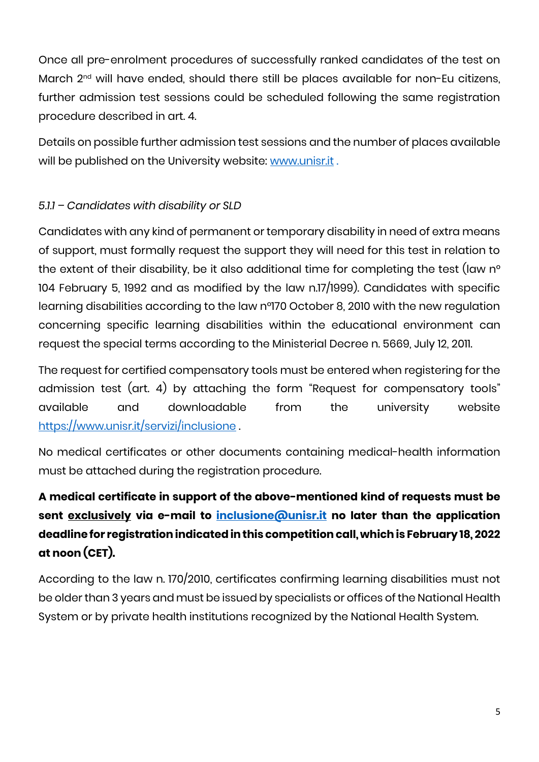Once all pre-enrolment procedures of successfully ranked candidates of the test on March 2<sup>nd</sup> will have ended, should there still be places available for non-Eu citizens, further admission test sessions could be scheduled following the same registration procedure described in art. 4.

Details on possible further admission test sessions and the number of places available will be published on the University website: [www.unisr.it](http://www.unisr.it/).

## *5.1.1 – Candidates with disability or SLD*

Candidates with any kind of permanent or temporary disability in need of extra means of support, must formally request the support they will need for this test in relation to the extent of their disability, be it also additional time for completing the test (law n° 104 February 5, 1992 and as modified by the law n.17/1999). Candidates with specific learning disabilities according to the law n°170 October 8, 2010 with the new regulation concerning specific learning disabilities within the educational environment can request the special terms according to the Ministerial Decree n. 5669, July 12, 2011.

The request for certified compensatory tools must be entered when registering for the admission test (art. 4) by attaching the form "Request for compensatory tools" available and downloadable from the university website <https://www.unisr.it/servizi/inclusione> .

No medical certificates or other documents containing medical-health information must be attached during the registration procedure.

## **A medical certificate in support of the above-mentioned kind of requests must be sent exclusively via e-mail to [inclusione@unisr.it](mailto:inclusione@unisr.it) no later than the application deadline for registration indicated in this competition call, which is February 18, 2022 at noon (CET).**

According to the law n. 170/2010, certificates confirming learning disabilities must not be older than 3 years and must be issued by specialists or offices of the National Health System or by private health institutions recognized by the National Health System.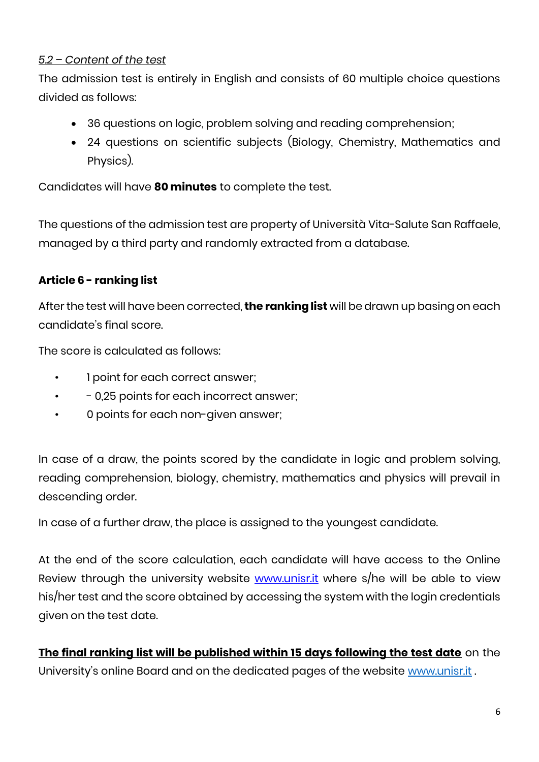### *5.2 – Content of the test*

The admission test is entirely in English and consists of 60 multiple choice questions divided as follows:

- 36 questions on logic, problem solving and reading comprehension;
- 24 questions on scientific subjects (Biology, Chemistry, Mathematics and Physics).

Candidates will have **80 minutes** to complete the test.

The questions of the admission test are property of Università Vita-Salute San Raffaele, managed by a third party and randomly extracted from a database.

### **Article 6 - ranking list**

After the test will have been corrected, **the ranking list** will be drawn up basing on each candidate's final score.

The score is calculated as follows:

- 1 point for each correct answer;
- - 0,25 points for each incorrect answer;
- 0 points for each non-given answer;

In case of a draw, the points scored by the candidate in logic and problem solving, reading comprehension, biology, chemistry, mathematics and physics will prevail in descending order.

In case of a further draw, the place is assigned to the youngest candidate.

At the end of the score calculation, each candidate will have access to the Online Review through the university website [www.unisr.it](http://www.unisr.it/) where s/he will be able to view his/her test and the score obtained by accessing the system with the login credentials given on the test date.

**The final ranking list will be published within 15 days following the test date** on the University's online Board and on the dedicated pages of the website [www.unisr.it](http://www.unisr.it/).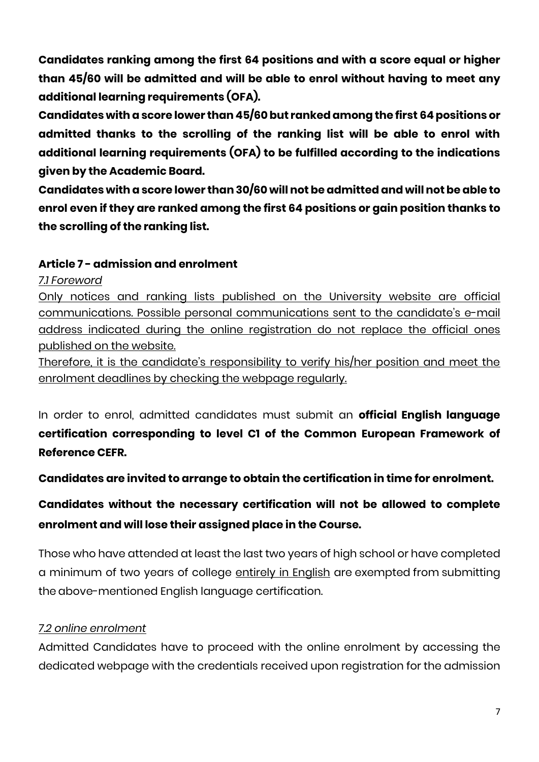**Candidates ranking among the first 64 positions and with a score equal or higher than 45/60 will be admitted and will be able to enrol without having to meet any additional learning requirements (OFA).**

**Candidates with a score lower than 45/60 but ranked among the first 64positions or admitted thanks to the scrolling of the ranking list will be able to enrol with additional learning requirements (OFA) to be fulfilled according to the indications given by the Academic Board.**

**Candidates with a score lower than 30/60 will not be admitted and will not be able to enrol even if they are ranked among the first 64 positions or gain position thanks to the scrolling of the ranking list.**

#### **Article 7 - admission and enrolment**

#### *7.1 Foreword*

Only notices and ranking lists published on the University website are official communications. Possible personal communications sent to the candidate's e-mail address indicated during the online registration do not replace the official ones published on the website.

Therefore, it is the candidate's responsibility to verify his/her position and meet the enrolment deadlines by checking the webpage regularly.

In order to enrol, admitted candidates must submit an **official English language certification corresponding to level C1 of the Common European Framework of Reference CEFR.** 

**Candidates are invited to arrange to obtain the certification in time for enrolment.** 

## **Candidates without the necessary certification will not be allowed to complete enrolment and will lose their assigned place in the Course.**

Those who have attended at least the last two years of high school or have completed a minimum of two years of college entirely in English are exempted from submitting the above-mentioned English language certification.

## *7.2 online enrolment*

Admitted Candidates have to proceed with the online enrolment by accessing the dedicated webpage with the credentials received upon registration for the admission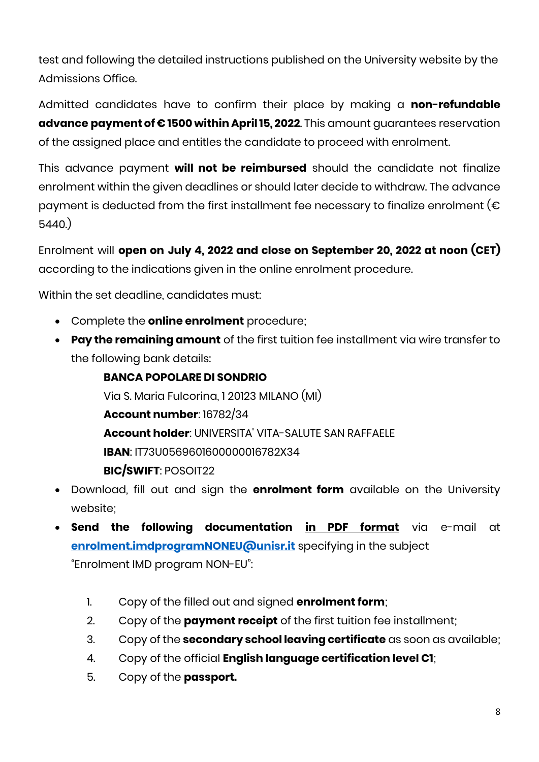test and following the detailed instructions published on the University website by the Admissions Office.

Admitted candidates have to confirm their place by making a **non-refundable advance payment of € 1500 within April 15, 2022**. This amount guarantees reservation of the assigned place and entitles the candidate to proceed with enrolment.

This advance payment **will not be reimbursed** should the candidate not finalize enrolment within the given deadlines or should later decide to withdraw. The advance payment is deducted from the first installment fee necessary to finalize enrolment ( $\epsilon$ 5440.)

Enrolment will **open on July 4, 2022 and close on September 20, 2022 at noon (CET)** according to the indications given in the online enrolment procedure.

Within the set deadline, candidates must:

- Complete the **online enrolment** procedure;
- **Pay the remaining amount** of the first tuition fee installment via wire transfer to the following bank details:

**BANCA POPOLARE DI SONDRIO** Via S. Maria Fulcorina, 1 20123 MILANO (MI) **Account number**: 16782/34 **Account holder**: UNIVERSITA' VITA-SALUTE SAN RAFFAELE **IBAN**: IT73U0569601600000016782X34 **BIC/SWIFT**: POSOIT22

- Download, fill out and sign the **enrolment form** available on the University website;
- **Send the following documentation in PDF format** via e-mail at **[enrolment.imdprogramNONEU@unisr.it](mailto:enrolment.imdprogramNONEU@unisr.it)** specifying in the subject "Enrolment IMD program NON-EU":
	- 1. Copy of the filled out and signed **enrolment form**;
	- 2. Copy of the **payment receipt** of the first tuition fee installment;
	- 3. Copy of the **secondary school leaving certificate** as soon as available;
	- 4. Copy of the official **English language certification level C1**;
	- 5. Copy of the **passport.**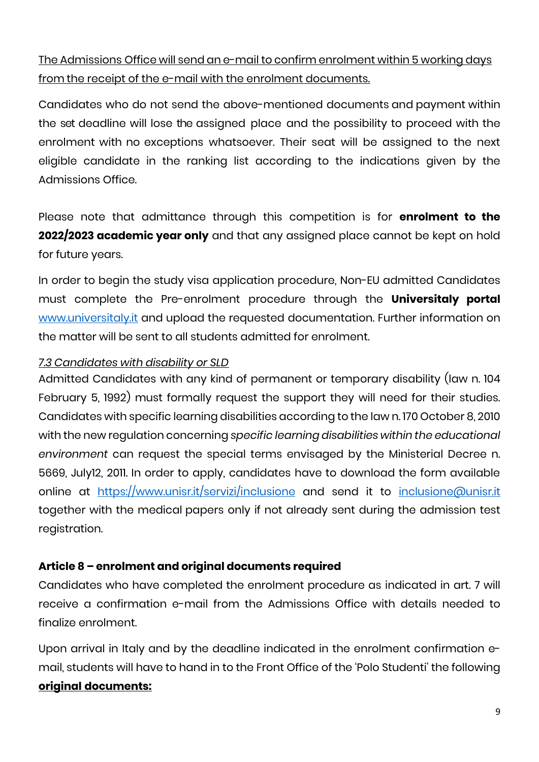The Admissions Office will send an e-mail to confirm enrolment within 5 working days from the receipt of the e-mail with the enrolment documents.

Candidates who do not send the above-mentioned documents and payment within the set deadline will lose the assigned place and the possibility to proceed with the enrolment with no exceptions whatsoever. Their seat will be assigned to the next eligible candidate in the ranking list according to the indications given by the Admissions Office.

Please note that admittance through this competition is for **enrolment to the 2022/2023 academic year only** and that any assigned place cannot be kept on hold for future years.

In order to begin the study visa application procedure, Non-EU admitted Candidates must complete the Pre-enrolment procedure through the **Universitaly portal** [www.universitaly.it](http://www.universitaly.it/) and upload the requested documentation. Further information on the matter will be sent to all students admitted for enrolment.

#### *7.3 Candidates with disability or SLD*

Admitted Candidates with any kind of permanent or temporary disability (law n. 104 February 5, 1992) must formally request the support they will need for their studies. Candidates with specific learning disabilities according to the law n. 170 October 8, 2010 with the new regulation concerning *specific learning disabilities within the educational environment* can request the special terms envisaged by the Ministerial Decree n. 5669, July12, 2011. In order to apply, candidates have to download the form available online at <https://www.unisr.it/servizi/inclusione> and send it to [inclusione@unisr.it](mailto:%20inclusione@unisr.it) together with the medical papers only if not already sent during the admission test registration.

#### **Article 8 – enrolment and original documents required**

Candidates who have completed the enrolment procedure as indicated in art. 7 will receive a confirmation e-mail from the Admissions Office with details needed to finalize enrolment.

Upon arrival in Italy and by the deadline indicated in the enrolment confirmation email, students will have to hand in to the Front Office of the 'Polo Studenti' the following **original documents:**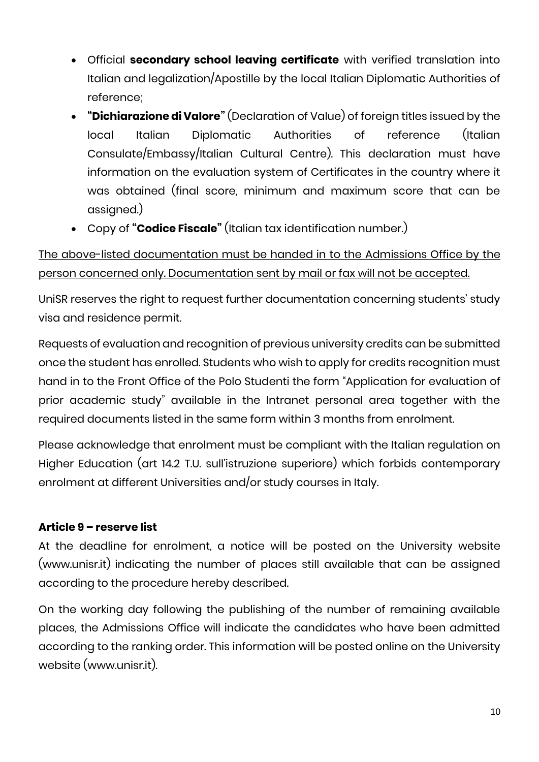- Official **secondary school leaving certificate** with verified translation into Italian and legalization/Apostille by the local Italian Diplomatic Authorities of reference;
- **"Dichiarazione di Valore"** (Declaration of Value) of foreign titles issued by the local Italian Diplomatic Authorities of reference (Italian Consulate/Embassy/Italian Cultural Centre). This declaration must have information on the evaluation system of Certificates in the country where it was obtained (final score, minimum and maximum score that can be assigned.)
- Copy of **"Codice Fiscale"** (Italian tax identification number.)

## The above-listed documentation must be handed in to the Admissions Office by the person concerned only. Documentation sent by mail or fax will not be accepted.

UniSR reserves the right to request further documentation concerning students' study visa and residence permit.

Requests of evaluation and recognition of previous university credits can be submitted once the student has enrolled. Students who wish to apply for credits recognition must hand in to the Front Office of the Polo Studenti the form "Application for evaluation of prior academic study" available in the Intranet personal area together with the required documents listed in the same form within 3 months from enrolment.

Please acknowledge that enrolment must be compliant with the Italian regulation on Higher Education (art 14.2 T.U. sull'istruzione superiore) which forbids contemporary enrolment at different Universities and/or study courses in Italy.

## **Article 9 – reserve list**

At the deadline for enrolment, a notice will be posted on the University website (www.unisr.it) indicating the number of places still available that can be assigned according to the procedure hereby described.

On the working day following the publishing of the number of remaining available places, the Admissions Office will indicate the candidates who have been admitted according to the ranking order. This information will be posted online on the University website (www.unisr.it).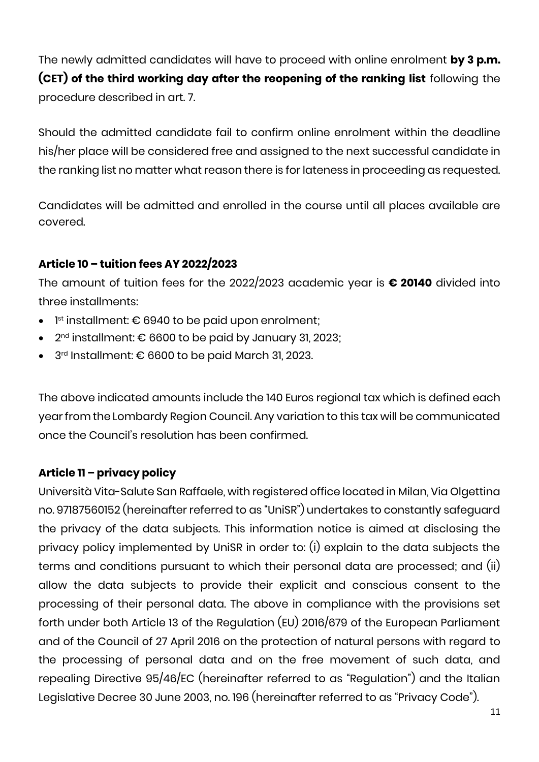The newly admitted candidates will have to proceed with online enrolment **by 3 p.m. (CET) of the third working day after the reopening of the ranking list** following the procedure described in art. 7.

Should the admitted candidate fail to confirm online enrolment within the deadline his/her place will be considered free and assigned to the next successful candidate in the ranking list no matter what reason there is for lateness in proceeding as requested.

Candidates will be admitted and enrolled in the course until all places available are covered.

## **Article 10 – tuition fees AY 2022/2023**

The amount of tuition fees for the 2022/2023 academic year is **€ 20140** divided into three installments:

- $\bullet$   $\;$  1st installment:  $\epsilon$  6940 to be paid upon enrolment;
- $\bullet$  2nd installment: € 6600 to be paid by January 31, 2023;
- 3 rd Installment: € 6600 to be paid March 31, 2023.

The above indicated amounts include the 140 Euros regional tax which is defined each year from the Lombardy Region Council. Any variation to this tax will be communicated once the Council's resolution has been confirmed.

## **Article 11 – privacy policy**

Università Vita-Salute San Raffaele, with registered office located in Milan, Via Olgettina no. 97187560152 (hereinafter referred to as "UniSR") undertakes to constantly safeguard the privacy of the data subjects. This information notice is aimed at disclosing the privacy policy implemented by UniSR in order to: (i) explain to the data subjects the terms and conditions pursuant to which their personal data are processed; and (ii) allow the data subjects to provide their explicit and conscious consent to the processing of their personal data. The above in compliance with the provisions set forth under both Article 13 of the Regulation (EU) 2016/679 of the European Parliament and of the Council of 27 April 2016 on the protection of natural persons with regard to the processing of personal data and on the free movement of such data, and repealing Directive 95/46/EC (hereinafter referred to as "Regulation") and the Italian Legislative Decree 30 June 2003, no. 196 (hereinafter referred to as "Privacy Code").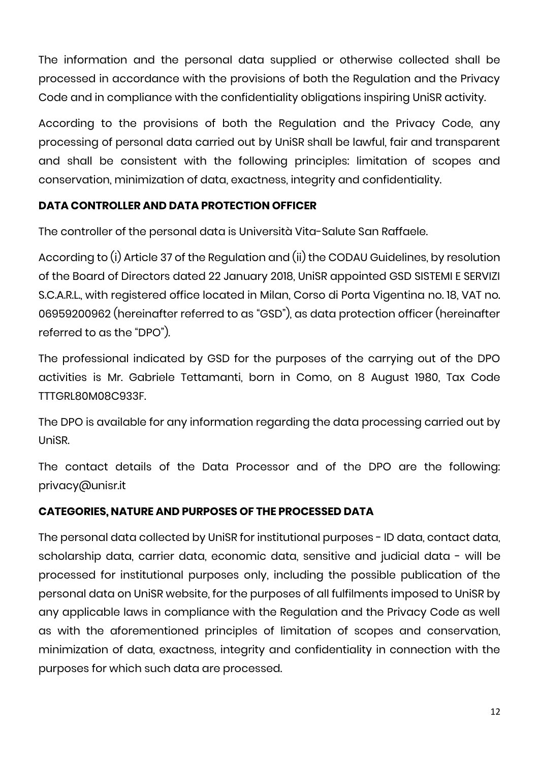The information and the personal data supplied or otherwise collected shall be processed in accordance with the provisions of both the Regulation and the Privacy Code and in compliance with the confidentiality obligations inspiring UniSR activity.

According to the provisions of both the Regulation and the Privacy Code, any processing of personal data carried out by UniSR shall be lawful, fair and transparent and shall be consistent with the following principles: limitation of scopes and conservation, minimization of data, exactness, integrity and confidentiality.

### **DATA CONTROLLER AND DATA PROTECTION OFFICER**

The controller of the personal data is Università Vita-Salute San Raffaele.

According to (i) Article 37 of the Regulation and (ii) the CODAU Guidelines, by resolution of the Board of Directors dated 22 January 2018, UniSR appointed GSD SISTEMI E SERVIZI S.C.A.R.L., with registered office located in Milan, Corso di Porta Vigentina no. 18, VAT no. 06959200962 (hereinafter referred to as "GSD"), as data protection officer (hereinafter referred to as the "DPO").

The professional indicated by GSD for the purposes of the carrying out of the DPO activities is Mr. Gabriele Tettamanti, born in Como, on 8 August 1980, Tax Code TTTGRL80M08C933F.

The DPO is available for any information regarding the data processing carried out by UniSR.

The contact details of the Data Processor and of the DPO are the following: privacy@unisr.it

#### **CATEGORIES, NATURE AND PURPOSES OF THE PROCESSED DATA**

The personal data collected by UniSR for institutional purposes - ID data, contact data, scholarship data, carrier data, economic data, sensitive and judicial data - will be processed for institutional purposes only, including the possible publication of the personal data on UniSR website, for the purposes of all fulfilments imposed to UniSR by any applicable laws in compliance with the Regulation and the Privacy Code as well as with the aforementioned principles of limitation of scopes and conservation, minimization of data, exactness, integrity and confidentiality in connection with the purposes for which such data are processed.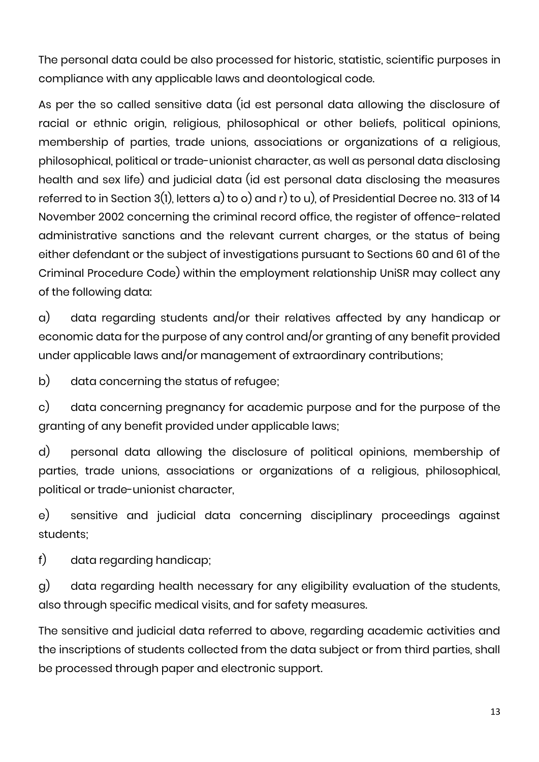The personal data could be also processed for historic, statistic, scientific purposes in compliance with any applicable laws and deontological code.

As per the so called sensitive data (id est personal data allowing the disclosure of racial or ethnic origin, religious, philosophical or other beliefs, political opinions, membership of parties, trade unions, associations or organizations of a religious, philosophical, political or trade-unionist character, as well as personal data disclosing health and sex life) and judicial data (id est personal data disclosing the measures referred to in Section 3(1), letters a) to o) and r) to u), of Presidential Decree no. 313 of 14 November 2002 concerning the criminal record office, the register of offence-related administrative sanctions and the relevant current charges, or the status of being either defendant or the subject of investigations pursuant to Sections 60 and 61 of the Criminal Procedure Code) within the employment relationship UniSR may collect any of the following data:

a) data regarding students and/or their relatives affected by any handicap or economic data for the purpose of any control and/or granting of any benefit provided under applicable laws and/or management of extraordinary contributions;

b) data concerning the status of refugee;

c) data concerning pregnancy for academic purpose and for the purpose of the granting of any benefit provided under applicable laws;

d) personal data allowing the disclosure of political opinions, membership of parties, trade unions, associations or organizations of a religious, philosophical, political or trade-unionist character,

e) sensitive and judicial data concerning disciplinary proceedings against students;

f) data regarding handicap;

g) data regarding health necessary for any eligibility evaluation of the students, also through specific medical visits, and for safety measures.

The sensitive and judicial data referred to above, regarding academic activities and the inscriptions of students collected from the data subject or from third parties, shall be processed through paper and electronic support.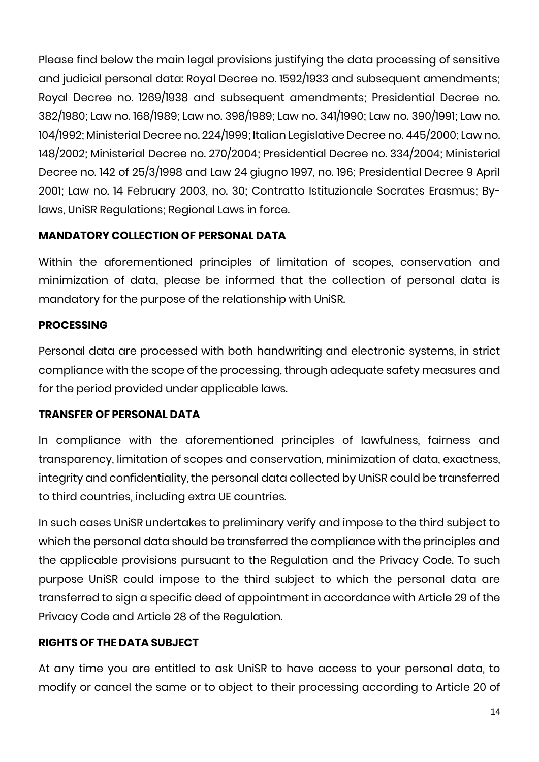Please find below the main legal provisions justifying the data processing of sensitive and judicial personal data: Royal Decree no. 1592/1933 and subsequent amendments; Royal Decree no. 1269/1938 and subsequent amendments; Presidential Decree no. 382/1980; Law no. 168/1989; Law no. 398/1989; Law no. 341/1990; Law no. 390/1991; Law no. 104/1992; Ministerial Decree no. 224/1999; Italian Legislative Decree no. 445/2000; Law no. 148/2002; Ministerial Decree no. 270/2004; Presidential Decree no. 334/2004; Ministerial Decree no. 142 of 25/3/1998 and Law 24 giugno 1997, no. 196; Presidential Decree 9 April 2001; Law no. 14 February 2003, no. 30; Contratto Istituzionale Socrates Erasmus; Bylaws, UniSR Regulations; Regional Laws in force.

## **MANDATORY COLLECTION OF PERSONAL DATA**

Within the aforementioned principles of limitation of scopes, conservation and minimization of data, please be informed that the collection of personal data is mandatory for the purpose of the relationship with UniSR.

## **PROCESSING**

Personal data are processed with both handwriting and electronic systems, in strict compliance with the scope of the processing, through adequate safety measures and for the period provided under applicable laws.

## **TRANSFER OF PERSONAL DATA**

In compliance with the aforementioned principles of lawfulness, fairness and transparency, limitation of scopes and conservation, minimization of data, exactness, integrity and confidentiality, the personal data collected by UniSR could be transferred to third countries, including extra UE countries.

In such cases UniSR undertakes to preliminary verify and impose to the third subject to which the personal data should be transferred the compliance with the principles and the applicable provisions pursuant to the Regulation and the Privacy Code. To such purpose UniSR could impose to the third subject to which the personal data are transferred to sign a specific deed of appointment in accordance with Article 29 of the Privacy Code and Article 28 of the Regulation.

## **RIGHTS OF THE DATA SUBJECT**

At any time you are entitled to ask UniSR to have access to your personal data, to modify or cancel the same or to object to their processing according to Article 20 of